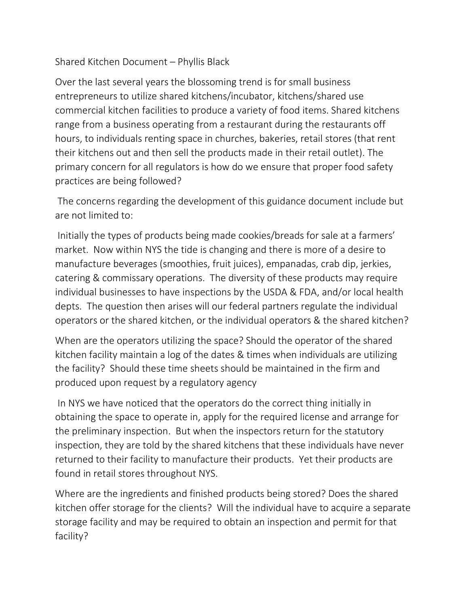## Shared Kitchen Document – Phyllis Black

Over the last several years the blossoming trend is for small business entrepreneurs to utilize shared kitchens/incubator, kitchens/shared use commercial kitchen facilities to produce a variety of food items. Shared kitchens range from a business operating from a restaurant during the restaurants off hours, to individuals renting space in churches, bakeries, retail stores (that rent their kitchens out and then sell the products made in their retail outlet). The primary concern for all regulators is how do we ensure that proper food safety practices are being followed?

The concerns regarding the development of this guidance document include but are not limited to:

Initially the types of products being made cookies/breads for sale at a farmers' market. Now within NYS the tide is changing and there is more of a desire to manufacture beverages (smoothies, fruit juices), empanadas, crab dip, jerkies, catering & commissary operations. The diversity of these products may require individual businesses to have inspections by the USDA & FDA, and/or local health depts. The question then arises will our federal partners regulate the individual operators or the shared kitchen, or the individual operators & the shared kitchen?

When are the operators utilizing the space? Should the operator of the shared kitchen facility maintain a log of the dates & times when individuals are utilizing the facility? Should these time sheets should be maintained in the firm and produced upon request by a regulatory agency

In NYS we have noticed that the operators do the correct thing initially in obtaining the space to operate in, apply for the required license and arrange for the preliminary inspection. But when the inspectors return for the statutory inspection, they are told by the shared kitchens that these individuals have never returned to their facility to manufacture their products. Yet their products are found in retail stores throughout NYS.

Where are the ingredients and finished products being stored? Does the shared kitchen offer storage for the clients? Will the individual have to acquire a separate storage facility and may be required to obtain an inspection and permit for that facility?